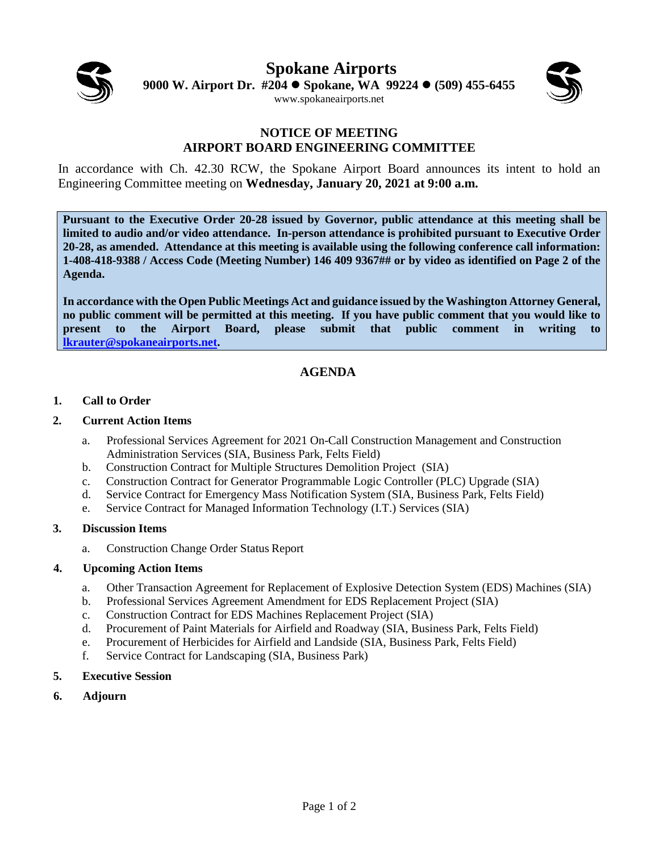

**Spokane Airports 9000 W. Airport Dr. #204 Spokane, WA 99224 (509) 455-6455** [www.spokaneairports.net](http://www.spokaneairports.net/)



#### **NOTICE OF MEETING AIRPORT BOARD ENGINEERING COMMITTEE**

In accordance with Ch. 42.30 RCW, the Spokane Airport Board announces its intent to hold an Engineering Committee meeting on **Wednesday, January 20, 2021 at 9:00 a.m.** 

**Pursuant to the Executive Order 20-28 issued by Governor, public attendance at this meeting shall be limited to audio and/or video attendance. In-person attendance is prohibited pursuant to Executive Order 20-28, as amended. Attendance at this meeting is available using the following conference call information: 1-408-418-9388 / Access Code (Meeting Number) 146 409 9367## or by video as identified on Page 2 of the Agenda.**

**In accordance with the Open Public Meetings Act and guidance issued by the Washington Attorney General, no public comment will be permitted at this meeting. If you have public comment that you would like to present to the Airport Board, please submit that public comment in writing to [lkrauter@spokaneairports.net.](mailto:lkrauter@spokaneairports.net)**

### **AGENDA**

#### **1. Call to Order**

#### **2. Current Action Items**

- a. Professional Services Agreement for 2021 On-Call Construction Management and Construction Administration Services (SIA, Business Park, Felts Field)
- b. Construction Contract for Multiple Structures Demolition Project (SIA)
- c. Construction Contract for Generator Programmable Logic Controller (PLC) Upgrade (SIA)
- d. Service Contract for Emergency Mass Notification System (SIA, Business Park, Felts Field)
- e. Service Contract for Managed Information Technology (I.T.) Services (SIA)

#### **3. Discussion Items**

a. Construction Change Order Status Report

#### **4. Upcoming Action Items**

- a. Other Transaction Agreement for Replacement of Explosive Detection System (EDS) Machines (SIA)
- b. Professional Services Agreement Amendment for EDS Replacement Project (SIA)
- c. Construction Contract for EDS Machines Replacement Project (SIA)
- d. Procurement of Paint Materials for Airfield and Roadway (SIA, Business Park, Felts Field)
- e. Procurement of Herbicides for Airfield and Landside (SIA, Business Park, Felts Field)
- f. Service Contract for Landscaping (SIA, Business Park)
- **5. Executive Session**
- **6. Adjourn**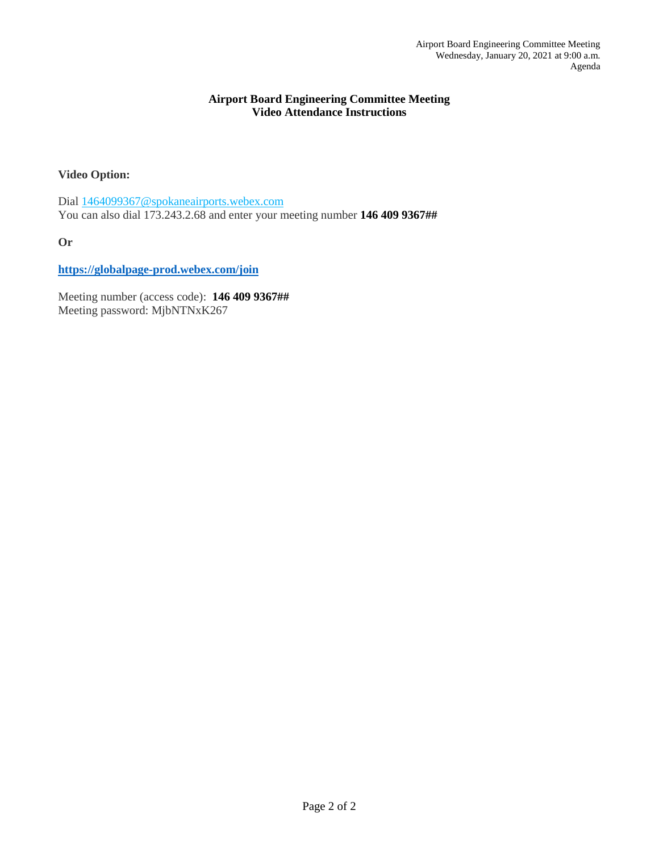#### **Airport Board Engineering Committee Meeting Video Attendance Instructions**

#### **Video Option:**

Dia[l 1464099367@spokaneairports.webex.com](sip:1464099367@spokaneairports.webex.com) You can also dial 173.243.2.68 and enter your meeting number **146 409 9367##**

**Or**

**<https://globalpage-prod.webex.com/join>**

Meeting number (access code): **146 409 9367##** Meeting password: MjbNTNxK267